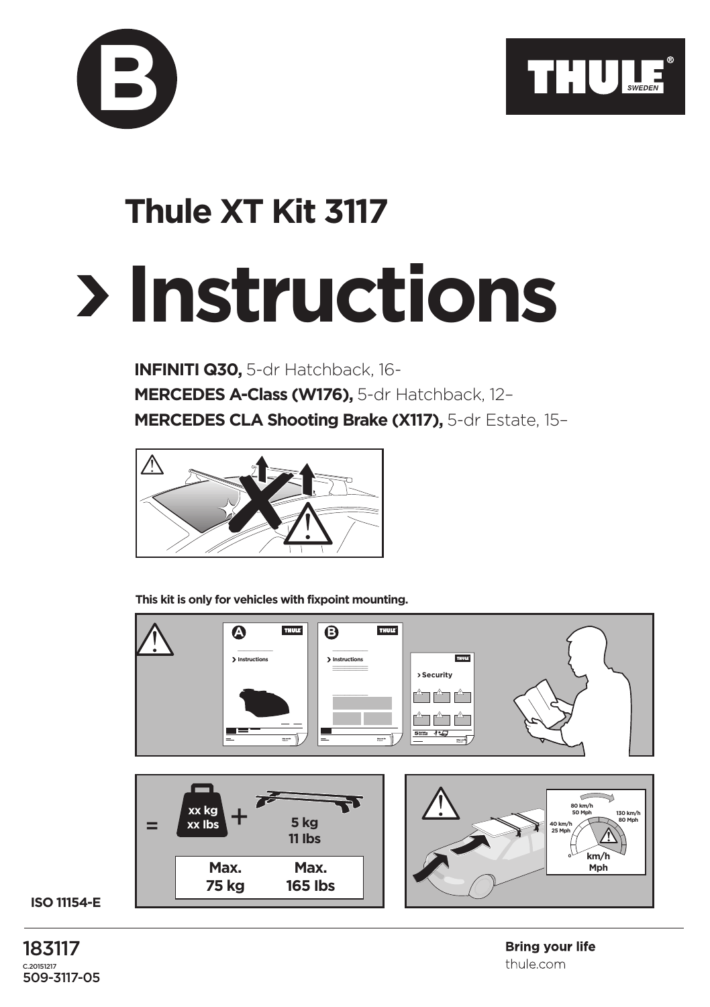



## **Thule XT Kit 3117**

## **Instructions**

**INFINITI Q30,** 5-dr Hatchback, 16- **MERCEDES A-Class (W176),** 5-dr Hatchback, 12– **MERCEDES CLA Shooting Brake (X117),** 5-dr Estate, 15–



**This kit is only for vehicles with fixpoint mounting.**



## **ISO 11154-E**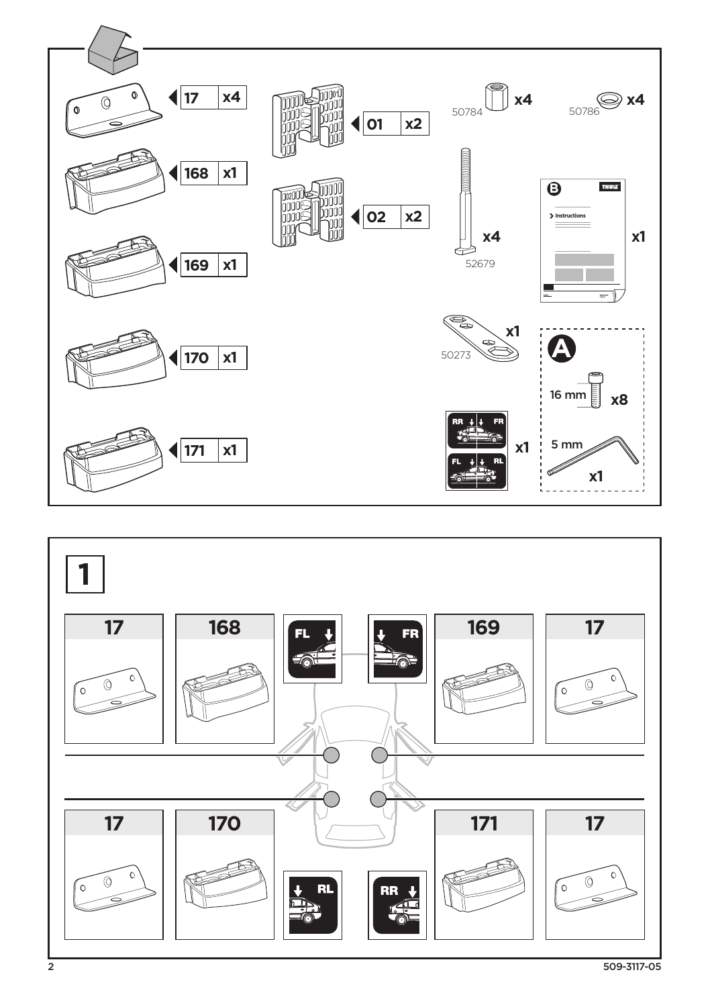

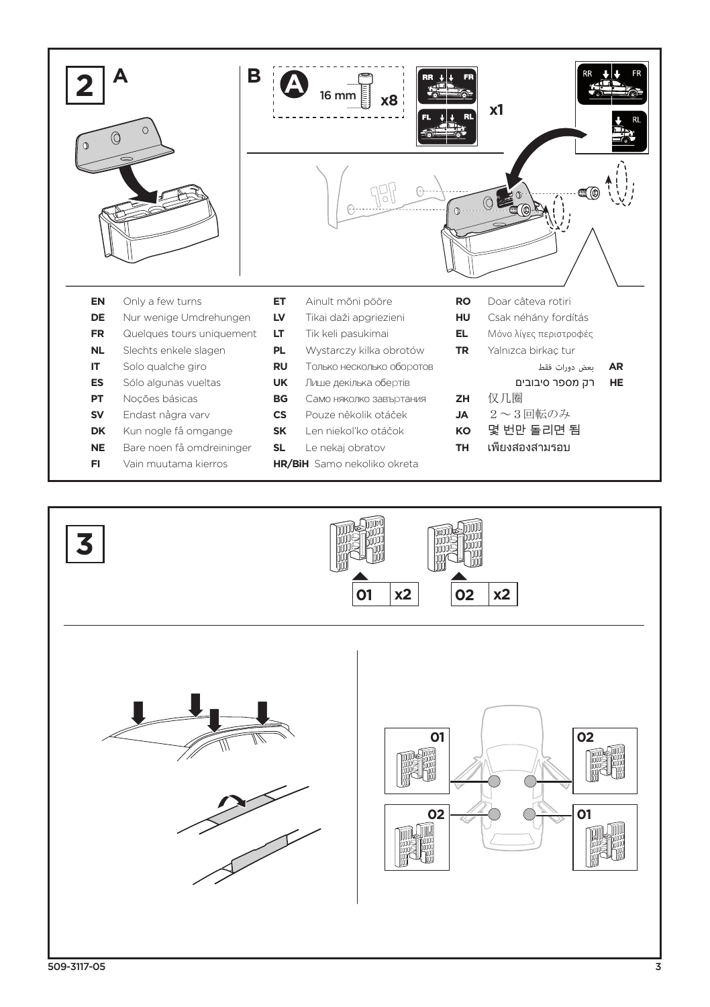